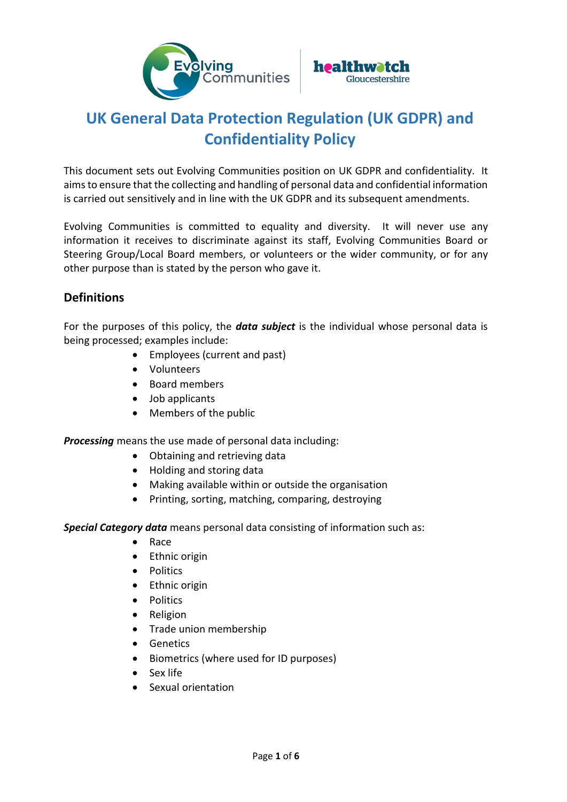



# **UK General Data Protection Regulation (UK GDPR) and Confidentiality Policy**

This document sets out Evolving Communities position on UK GDPR and confidentiality. It aims to ensure that the collecting and handling of personal data and confidential information is carried out sensitively and in line with the UK GDPR and its subsequent amendments.

Evolving Communities is committed to equality and diversity. It will never use any information it receives to discriminate against its staff, Evolving Communities Board or Steering Group/Local Board members, or volunteers or the wider community, or for any other purpose than is stated by the person who gave it.

# **Definitions**

For the purposes of this policy, the *data subject* is the individual whose personal data is being processed; examples include:

- Employees (current and past)
- Volunteers
- Board members
- Job applicants
- Members of the public

*Processing* means the use made of personal data including:

- Obtaining and retrieving data
- Holding and storing data
- Making available within or outside the organisation
- Printing, sorting, matching, comparing, destroying

*Special Category data* means personal data consisting of information such as:

- Race
- Ethnic origin
- Politics
- Ethnic origin
- Politics
- Religion
- Trade union membership
- Genetics
- Biometrics (where used for ID purposes)
- Sex life
- Sexual orientation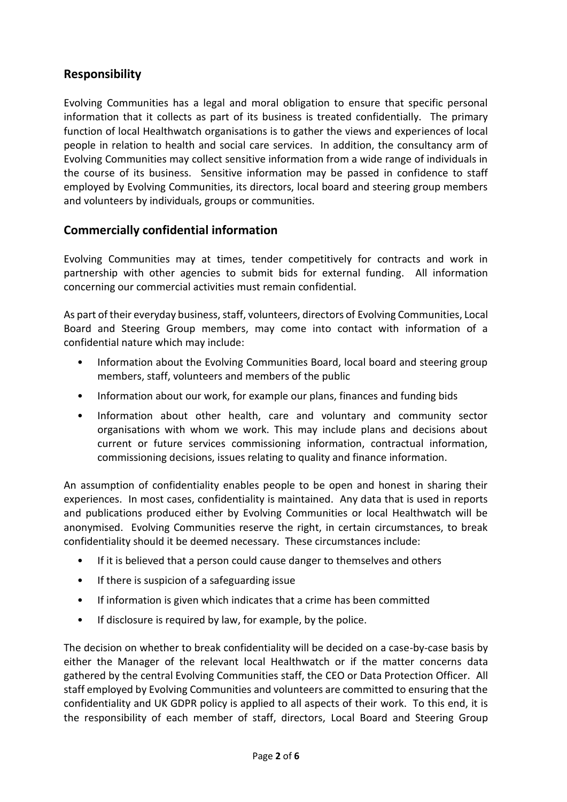# **Responsibility**

Evolving Communities has a legal and moral obligation to ensure that specific personal information that it collects as part of its business is treated confidentially. The primary function of local Healthwatch organisations is to gather the views and experiences of local people in relation to health and social care services. In addition, the consultancy arm of Evolving Communities may collect sensitive information from a wide range of individuals in the course of its business. Sensitive information may be passed in confidence to staff employed by Evolving Communities, its directors, local board and steering group members and volunteers by individuals, groups or communities.

# **Commercially confidential information**

Evolving Communities may at times, tender competitively for contracts and work in partnership with other agencies to submit bids for external funding. All information concerning our commercial activities must remain confidential.

As part of their everyday business, staff, volunteers, directors of Evolving Communities, Local Board and Steering Group members, may come into contact with information of a confidential nature which may include:

- Information about the Evolving Communities Board, local board and steering group members, staff, volunteers and members of the public
- Information about our work, for example our plans, finances and funding bids
- Information about other health, care and voluntary and community sector organisations with whom we work. This may include plans and decisions about current or future services commissioning information, contractual information, commissioning decisions, issues relating to quality and finance information.

An assumption of confidentiality enables people to be open and honest in sharing their experiences. In most cases, confidentiality is maintained. Any data that is used in reports and publications produced either by Evolving Communities or local Healthwatch will be anonymised. Evolving Communities reserve the right, in certain circumstances, to break confidentiality should it be deemed necessary. These circumstances include:

- If it is believed that a person could cause danger to themselves and others
- If there is suspicion of a safeguarding issue
- If information is given which indicates that a crime has been committed
- If disclosure is required by law, for example, by the police.

The decision on whether to break confidentiality will be decided on a case-by-case basis by either the Manager of the relevant local Healthwatch or if the matter concerns data gathered by the central Evolving Communities staff, the CEO or Data Protection Officer. All staff employed by Evolving Communities and volunteers are committed to ensuring that the confidentiality and UK GDPR policy is applied to all aspects of their work. To this end, it is the responsibility of each member of staff, directors, Local Board and Steering Group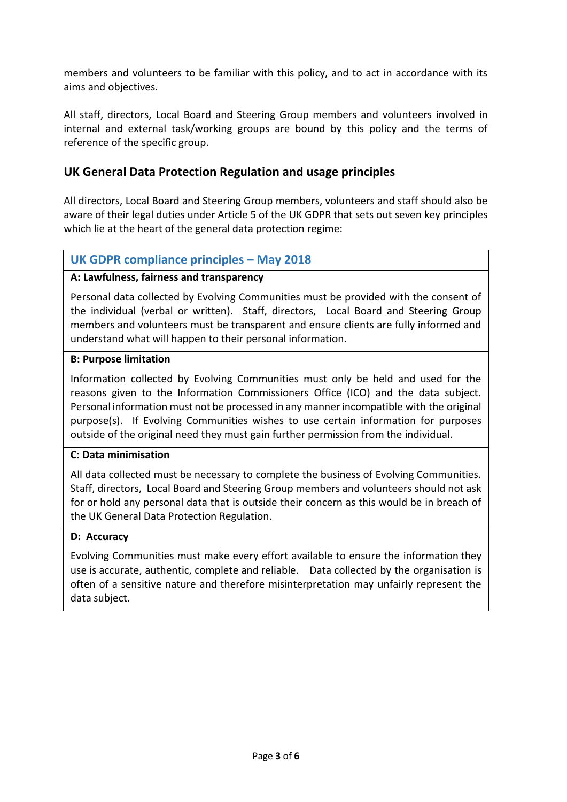members and volunteers to be familiar with this policy, and to act in accordance with its aims and objectives.

All staff, directors, Local Board and Steering Group members and volunteers involved in internal and external task/working groups are bound by this policy and the terms of reference of the specific group.

## **UK General Data Protection Regulation and usage principles**

All directors, Local Board and Steering Group members, volunteers and staff should also be aware of their legal duties under Article 5 of the UK GDPR that sets out seven key principles which lie at the heart of the general data protection regime:

## **UK GDPR compliance principles – May 2018**

#### **A: Lawfulness, fairness and transparency**

Personal data collected by Evolving Communities must be provided with the consent of the individual (verbal or written). Staff, directors, Local Board and Steering Group members and volunteers must be transparent and ensure clients are fully informed and understand what will happen to their personal information.

#### **B: Purpose limitation**

Information collected by Evolving Communities must only be held and used for the reasons given to the Information Commissioners Office (ICO) and the data subject. Personal information must not be processed in any mannerincompatible with the original purpose(s). If Evolving Communities wishes to use certain information for purposes outside of the original need they must gain further permission from the individual.

#### **C: Data minimisation**

All data collected must be necessary to complete the business of Evolving Communities. Staff, directors, Local Board and Steering Group members and volunteers should not ask for or hold any personal data that is outside their concern as this would be in breach of the UK General Data Protection Regulation.

#### **D: Accuracy**

Evolving Communities must make every effort available to ensure the information they use is accurate, authentic, complete and reliable. Data collected by the organisation is often of a sensitive nature and therefore misinterpretation may unfairly represent the data subject.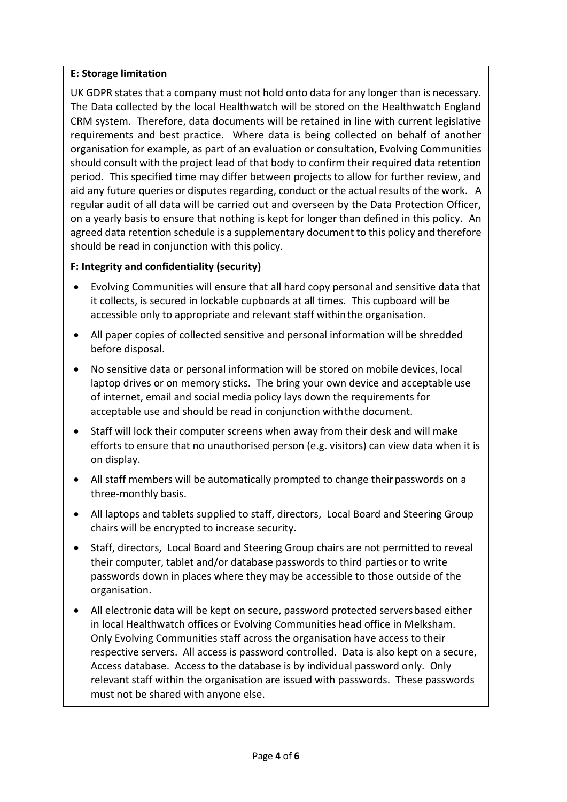#### **E: Storage limitation**

UK GDPR states that a company must not hold onto data for any longer than is necessary. The Data collected by the local Healthwatch will be stored on the Healthwatch England CRM system. Therefore, data documents will be retained in line with current legislative requirements and best practice. Where data is being collected on behalf of another organisation for example, as part of an evaluation or consultation, Evolving Communities should consult with the project lead of that body to confirm their required data retention period. This specified time may differ between projects to allow for further review, and aid any future queries or disputes regarding, conduct or the actual results of the work. A regular audit of all data will be carried out and overseen by the Data Protection Officer, on a yearly basis to ensure that nothing is kept for longer than defined in this policy. An agreed data retention schedule is a supplementary document to this policy and therefore should be read in conjunction with this policy.

#### **F: Integrity and confidentiality (security)**

- Evolving Communities will ensure that all hard copy personal and sensitive data that it collects, is secured in lockable cupboards at all times. This cupboard will be accessible only to appropriate and relevant staff withinthe organisation.
- All paper copies of collected sensitive and personal information willbe shredded before disposal.
- No sensitive data or personal information will be stored on mobile devices, local laptop drives or on memory sticks. The bring your own device and acceptable use of internet, email and social media policy lays down the requirements for acceptable use and should be read in conjunction withthe document.
- Staff will lock their computer screens when away from their desk and will make efforts to ensure that no unauthorised person (e.g. visitors) can view data when it is on display.
- All staff members will be automatically prompted to change their passwords on a three-monthly basis.
- All laptops and tablets supplied to staff, directors, Local Board and Steering Group chairs will be encrypted to increase security.
- Staff, directors, Local Board and Steering Group chairs are not permitted to reveal their computer, tablet and/or database passwords to third partiesor to write passwords down in places where they may be accessible to those outside of the organisation.
- All electronic data will be kept on secure, password protected serversbased either in local Healthwatch offices or Evolving Communities head office in Melksham. Only Evolving Communities staff across the organisation have access to their respective servers. All access is password controlled. Data is also kept on a secure, Access database. Access to the database is by individual password only. Only relevant staff within the organisation are issued with passwords. These passwords must not be shared with anyone else.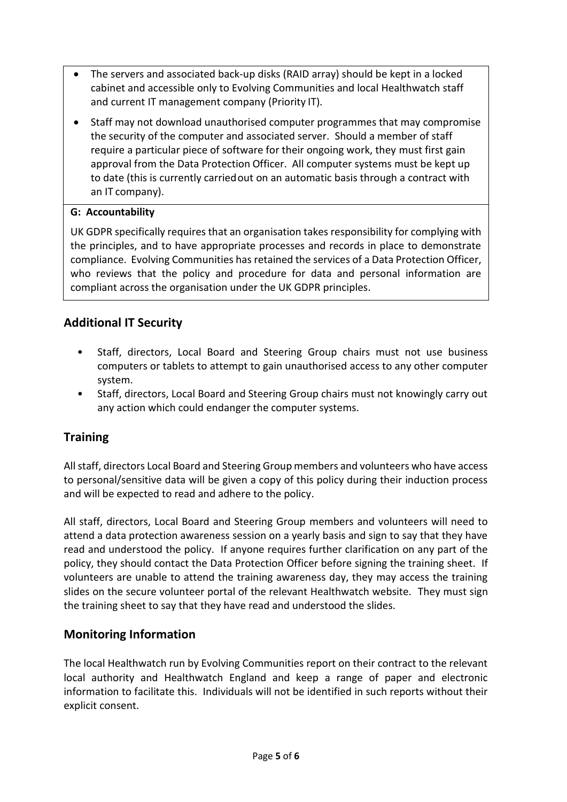- The servers and associated back-up disks (RAID array) should be kept in a locked cabinet and accessible only to Evolving Communities and local Healthwatch staff and current IT management company (Priority IT).
- Staff may not download unauthorised computer programmes that may compromise the security of the computer and associated server. Should a member of staff require a particular piece of software for their ongoing work, they must first gain approval from the Data Protection Officer. All computer systems must be kept up to date (this is currently carriedout on an automatic basis through a contract with an IT company).

## **G: Accountability**

UK GDPR specifically requires that an organisation takes responsibility for complying with the principles, and to have appropriate processes and records in place to demonstrate compliance. Evolving Communities has retained the services of a Data Protection Officer, who reviews that the policy and procedure for data and personal information are compliant across the organisation under the UK GDPR principles.

# **Additional IT Security**

- Staff, directors, Local Board and Steering Group chairs must not use business computers or tablets to attempt to gain unauthorised access to any other computer system.
- Staff, directors, Local Board and Steering Group chairs must not knowingly carry out any action which could endanger the computer systems.

# **Training**

All staff, directors Local Board and Steering Group members and volunteers who have access to personal/sensitive data will be given a copy of this policy during their induction process and will be expected to read and adhere to the policy.

All staff, directors, Local Board and Steering Group members and volunteers will need to attend a data protection awareness session on a yearly basis and sign to say that they have read and understood the policy. If anyone requires further clarification on any part of the policy, they should contact the Data Protection Officer before signing the training sheet. If volunteers are unable to attend the training awareness day, they may access the training slides on the secure volunteer portal of the relevant Healthwatch website. They must sign the training sheet to say that they have read and understood the slides.

# **Monitoring Information**

The local Healthwatch run by Evolving Communities report on their contract to the relevant local authority and Healthwatch England and keep a range of paper and electronic information to facilitate this. Individuals will not be identified in such reports without their explicit consent.